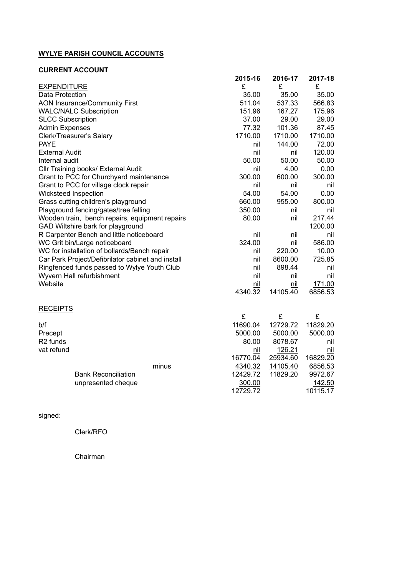## **WYLYE PARISH COUNCIL ACCOUNTS**

## **CURRENT ACCOUNT**

|                                                   | 2015-16 | 2016-17  | 2017-18 |
|---------------------------------------------------|---------|----------|---------|
| <b>EXPENDITURE</b>                                | £       | £        | £       |
| Data Protection                                   | 35.00   | 35.00    | 35.00   |
| <b>AON Insurance/Community First</b>              | 511.04  | 537.33   | 566.83  |
| <b>WALC/NALC Subscription</b>                     | 151.96  | 167.27   | 175.96  |
| <b>SLCC Subscription</b>                          | 37.00   | 29.00    | 29.00   |
| <b>Admin Expenses</b>                             | 77.32   | 101.36   | 87.45   |
| Clerk/Treasurer's Salary                          | 1710.00 | 1710.00  | 1710.00 |
| <b>PAYE</b>                                       | nil     | 144.00   | 72.00   |
| <b>External Audit</b>                             | nil     | nil      | 120.00  |
| Internal audit                                    | 50.00   | 50.00    | 50.00   |
| Cllr Training books/ External Audit               | nil     | 4.00     | 0.00    |
| Grant to PCC for Churchyard maintenance           | 300.00  | 600.00   | 300.00  |
| Grant to PCC for village clock repair             | nil     | nil      | nil     |
| Wicksteed Inspection                              | 54.00   | 54.00    | 0.00    |
| Grass cutting children's playground               | 660.00  | 955.00   | 800.00  |
| Playground fencing/gates/tree felling             | 350.00  | nil      | nil     |
| Wooden train, bench repairs, equipment repairs    | 80.00   | nil      | 217.44  |
| GAD Wiltshire bark for playground                 |         |          | 1200.00 |
| R Carpenter Bench and little noticeboard          | nil     | nil      | nil     |
| WC Grit bin/Large noticeboard                     | 324.00  | nil      | 586.00  |
| WC for installation of bollards/Bench repair      | nil     | 220.00   | 10.00   |
| Car Park Project/Defibrilator cabinet and install | nil     | 8600.00  | 725.85  |
| Ringfenced funds passed to Wylye Youth Club       | nil     | 898.44   | nil     |
| Wyvern Hall refurbishment                         | nil     | nil      | nil     |
| Website                                           | nil     | nil      | 171.00  |
|                                                   | 4340.32 | 14105.40 | 6856.53 |
|                                                   |         |          |         |

## **RECEIPTS**

| <b>REVEIPIS</b>      |                            |       |          |          |          |
|----------------------|----------------------------|-------|----------|----------|----------|
|                      |                            |       | £        |          | £        |
| b/f                  |                            |       | 11690.04 | 12729.72 | 11829.20 |
| Precept              |                            |       | 5000.00  | 5000.00  | 5000.00  |
| R <sub>2</sub> funds |                            |       | 80.00    | 8078.67  | nil      |
| vat refund           |                            |       | nil      | 126.21   | nil      |
|                      |                            |       | 16770.04 | 25934.60 | 16829.20 |
|                      |                            | minus | 4340.32  | 14105.40 | 6856.53  |
|                      | <b>Bank Reconciliation</b> |       | 12429.72 | 11829.20 | 9972.67  |
|                      | unpresented cheque         |       | 300.00   |          | 142.50   |
|                      |                            |       | 12729.72 |          | 10115.17 |
|                      |                            |       |          |          |          |

## signed:

Clerk/RFO

Chairman